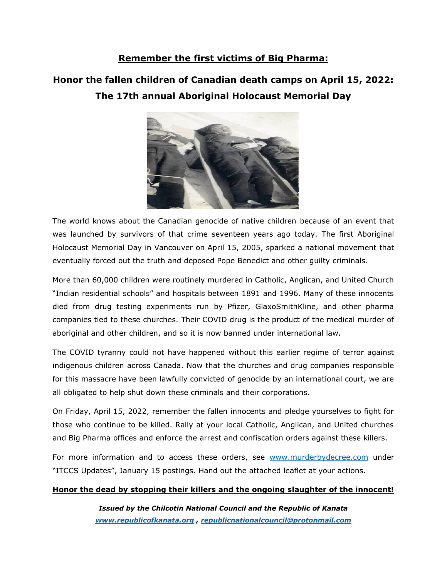#### **Remember the first victims of Big Pharma:**

### **Honor the fallen children of Canadian death camps on April 15, 2022: The 17th annual Aboriginal Holocaust Memorial Day**



The world knows about the Canadian genocide of native children because of an event that was launched by survivors of that crime seventeen years ago today. The first Aboriginal Holocaust Memorial Day in Vancouver on April 15, 2005, sparked a national movement that eventually forced out the truth and deposed Pope Benedict and other guilty criminals.

More than 60,000 children were routinely murdered in Catholic, Anglican, and United Church "Indian residential schools" and hospitals between 1891 and 1996. Many of these innocents died from drug testing experiments run by Pfizer, GlaxoSmithKline, and other pharma companies tied to these churches. Their COVID drug is the product of the medical murder of aboriginal and other children, and so it is now banned under international law.

The COVID tyranny could not have happened without this earlier regime of terror against indigenous children across Canada. Now that the churches and drug companies responsible for this massacre have been lawfully convicted of genocide by an international court, we are all obligated to help shut down these criminals and their corporations.

On Friday, April 15, 2022, remember the fallen innocents and pledge yourselves to fight for those who continue to be killed. Rally at your local Catholic, Anglican, and United churches and Big Pharma offices and enforce the arrest and confiscation orders against these killers.

For more information and to access these orders, see [www.murderbydecree.com](http://www.murderbydecree.com/) under "ITCCS Updates", January 15 postings. Hand out the attached leaflet at your actions.

#### **Honor the dead by stopping their killers and the ongoing slaughter of the innocent!**

*Issued by the Chilcotin National Council and the Republic of Kanata [www.republicofkanata.org](http://www.republicofkanata.org/) , [republicnationalcouncil@protonmail.com](mailto:republicnationalcouncil@protonmail.com)*